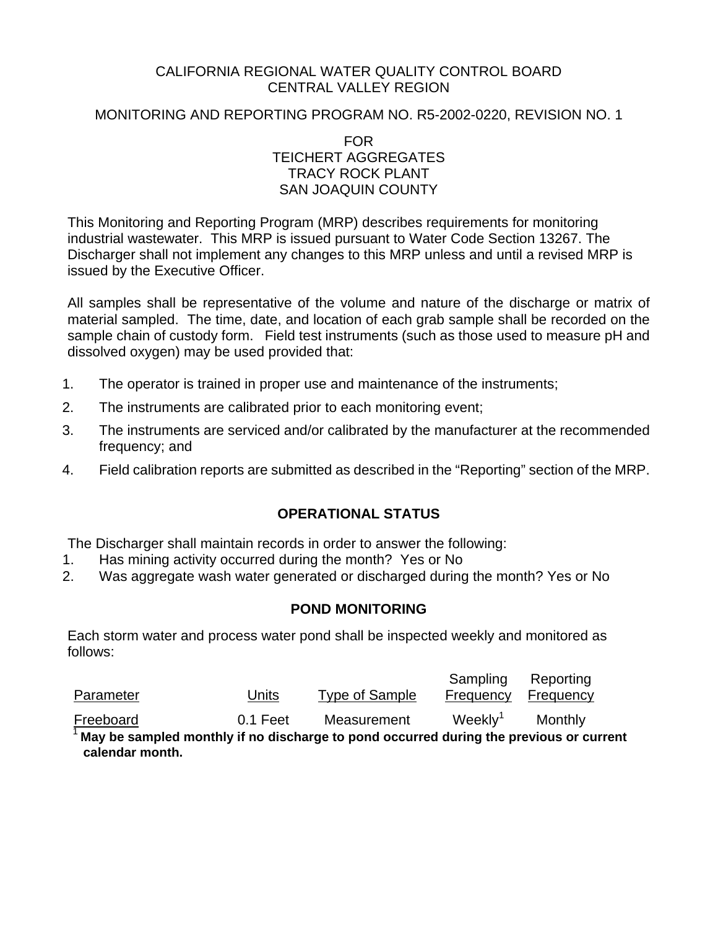## CALIFORNIA REGIONAL WATER QUALITY CONTROL BOARD CENTRAL VALLEY REGION

## MONITORING AND REPORTING PROGRAM NO. R5-2002-0220, REVISION NO. 1

FOR TEICHERT AGGREGATES TRACY ROCK PLANT SAN JOAQUIN COUNTY

This Monitoring and Reporting Program (MRP) describes requirements for monitoring industrial wastewater. This MRP is issued pursuant to Water Code Section 13267. The Discharger shall not implement any changes to this MRP unless and until a revised MRP is issued by the Executive Officer.

All samples shall be representative of the volume and nature of the discharge or matrix of material sampled. The time, date, and location of each grab sample shall be recorded on the sample chain of custody form. Field test instruments (such as those used to measure pH and dissolved oxygen) may be used provided that:

- 1. The operator is trained in proper use and maintenance of the instruments;
- 2. The instruments are calibrated prior to each monitoring event;
- 3. The instruments are serviced and/or calibrated by the manufacturer at the recommended frequency; and
- 4. Field calibration reports are submitted as described in the "Reporting" section of the MRP.

# **OPERATIONAL STATUS**

The Discharger shall maintain records in order to answer the following:

- 1. Has mining activity occurred during the month? Yes or No
- 2. Was aggregate wash water generated or discharged during the month? Yes or No

# **POND MONITORING**

Each storm water and process water pond shall be inspected weekly and monitored as follows:

| Parameter | Units      | Type of Sample | Sampling            | Reporting<br>Frequency Frequency |  |
|-----------|------------|----------------|---------------------|----------------------------------|--|
| Freeboard | $0.1$ Feet | Measurement    | Weekly <sup>1</sup> | Monthly                          |  |

<sup>1</sup>**May be sampled monthly if no discharge to pond occurred during the previous or current calendar month.**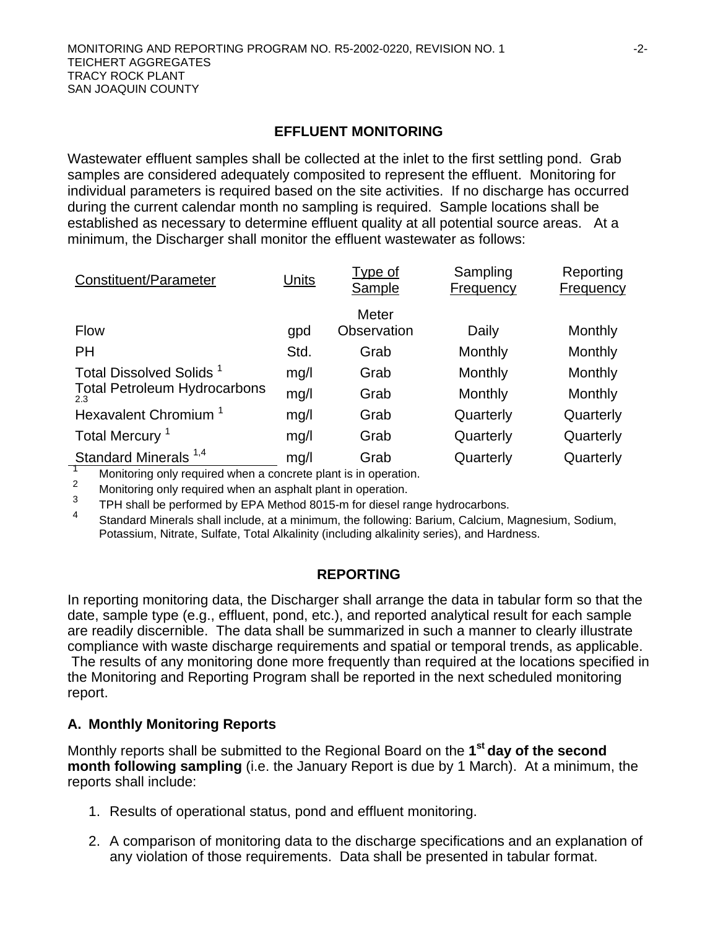### **EFFLUENT MONITORING**

Wastewater effluent samples shall be collected at the inlet to the first settling pond. Grab samples are considered adequately composited to represent the effluent. Monitoring for individual parameters is required based on the site activities. If no discharge has occurred during the current calendar month no sampling is required. Sample locations shall be established as necessary to determine effluent quality at all potential source areas. At a minimum, the Discharger shall monitor the effluent wastewater as follows:

| Constituent/Parameter                                           | Units | Type of<br>Sample | Sampling<br><b>Frequency</b> | Reporting<br><b>Frequency</b> |
|-----------------------------------------------------------------|-------|-------------------|------------------------------|-------------------------------|
|                                                                 |       | Meter             |                              |                               |
| <b>Flow</b>                                                     | gpd   | Observation       | Daily                        | Monthly                       |
| <b>PH</b>                                                       | Std.  | Grab              | Monthly                      | Monthly                       |
| Total Dissolved Solids <sup>1</sup>                             | mg/l  | Grab              | Monthly                      | Monthly                       |
| <b>Total Petroleum Hydrocarbons</b><br>2.3                      | mg/l  | Grab              | Monthly                      | Monthly                       |
| Hexavalent Chromium <sup>1</sup>                                | mg/l  | Grab              | Quarterly                    | Quarterly                     |
| Total Mercury <sup>1</sup>                                      | mg/l  | Grab              | Quarterly                    | Quarterly                     |
| Standard Minerals <sup>1,4</sup>                                | mg/l  | Grab              | Quarterly                    | Quarterly                     |
| Monitoring only required when a concrete plant is in operation. |       |                   |                              |                               |

2<br>Monitoring only required when an asphalt plant in operation.<br>3<br>And the Latter of the Latter of the Latter of the Latter of the Latter of the Latter of the Latter of the Latter of the Latter of the Latter of the Latter of

 $T$ PH shall be performed by EPA Method 8015-m for diesel range hydrocarbons.

4 Standard Minerals shall include, at a minimum, the following: Barium, Calcium, Magnesium, Sodium, Potassium, Nitrate, Sulfate, Total Alkalinity (including alkalinity series), and Hardness.

#### **REPORTING**

In reporting monitoring data, the Discharger shall arrange the data in tabular form so that the date, sample type (e.g., effluent, pond, etc.), and reported analytical result for each sample are readily discernible. The data shall be summarized in such a manner to clearly illustrate compliance with waste discharge requirements and spatial or temporal trends, as applicable. The results of any monitoring done more frequently than required at the locations specified in the Monitoring and Reporting Program shall be reported in the next scheduled monitoring report.

## **A. Monthly Monitoring Reports**

Monthly reports shall be submitted to the Regional Board on the **1st day of the second month following sampling** (i.e. the January Report is due by 1 March). At a minimum, the reports shall include:

- 1. Results of operational status, pond and effluent monitoring.
- 2. A comparison of monitoring data to the discharge specifications and an explanation of any violation of those requirements. Data shall be presented in tabular format.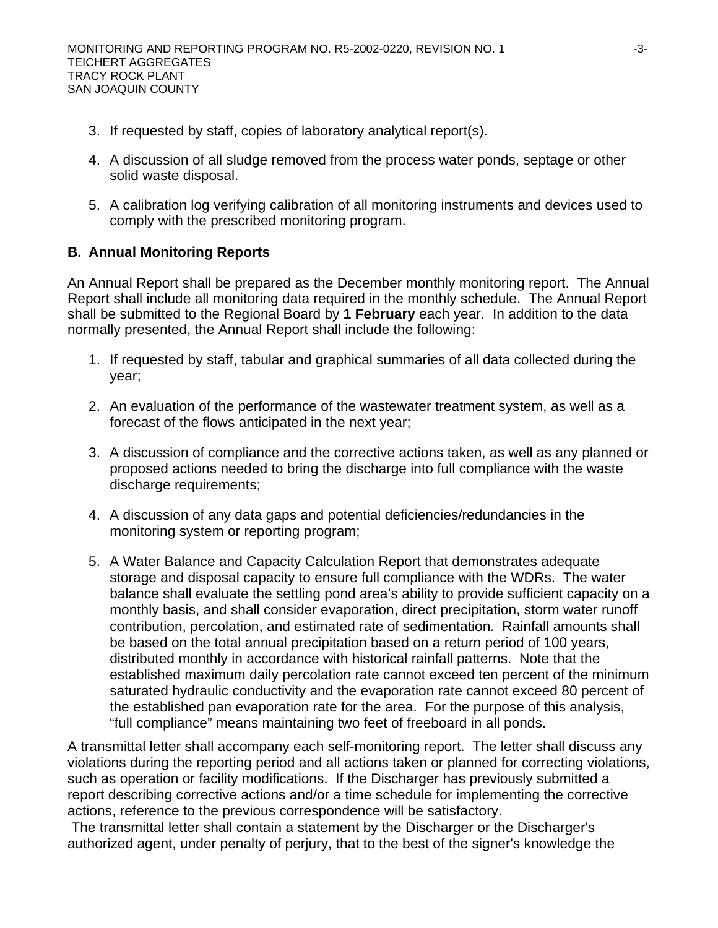- 3. If requested by staff, copies of laboratory analytical report(s).
- 4. A discussion of all sludge removed from the process water ponds, septage or other solid waste disposal.
- 5. A calibration log verifying calibration of all monitoring instruments and devices used to comply with the prescribed monitoring program.

## **B. Annual Monitoring Reports**

An Annual Report shall be prepared as the December monthly monitoring report. The Annual Report shall include all monitoring data required in the monthly schedule. The Annual Report shall be submitted to the Regional Board by **1 February** each year. In addition to the data normally presented, the Annual Report shall include the following:

- 1. If requested by staff, tabular and graphical summaries of all data collected during the year;
- 2. An evaluation of the performance of the wastewater treatment system, as well as a forecast of the flows anticipated in the next year;
- 3. A discussion of compliance and the corrective actions taken, as well as any planned or proposed actions needed to bring the discharge into full compliance with the waste discharge requirements;
- 4. A discussion of any data gaps and potential deficiencies/redundancies in the monitoring system or reporting program;
- 5. A Water Balance and Capacity Calculation Report that demonstrates adequate storage and disposal capacity to ensure full compliance with the WDRs. The water balance shall evaluate the settling pond area's ability to provide sufficient capacity on a monthly basis, and shall consider evaporation, direct precipitation, storm water runoff contribution, percolation, and estimated rate of sedimentation. Rainfall amounts shall be based on the total annual precipitation based on a return period of 100 years, distributed monthly in accordance with historical rainfall patterns. Note that the established maximum daily percolation rate cannot exceed ten percent of the minimum saturated hydraulic conductivity and the evaporation rate cannot exceed 80 percent of the established pan evaporation rate for the area. For the purpose of this analysis, "full compliance" means maintaining two feet of freeboard in all ponds.

A transmittal letter shall accompany each self-monitoring report. The letter shall discuss any violations during the reporting period and all actions taken or planned for correcting violations, such as operation or facility modifications. If the Discharger has previously submitted a report describing corrective actions and/or a time schedule for implementing the corrective actions, reference to the previous correspondence will be satisfactory.

 The transmittal letter shall contain a statement by the Discharger or the Discharger's authorized agent, under penalty of perjury, that to the best of the signer's knowledge the